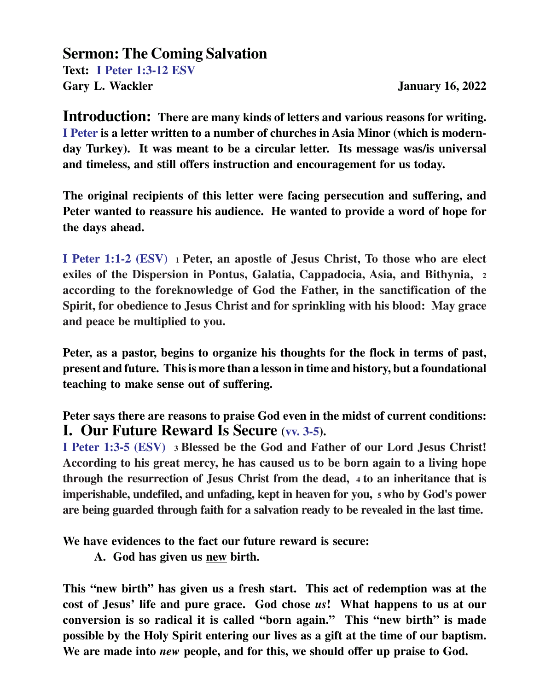## **Sermon: The Coming Salvation**

**Text: I Peter 1:3-12 ESV** Gary L. Wackler **January 16, 2022** 

**Introduction: There are many kinds of letters and various reasons for writing. I Peter is a letter written to a number of churches in Asia Minor (which is modernday Turkey). It was meant to be a circular letter. Its message was/is universal and timeless, and still offers instruction and encouragement for us today.**

**The original recipients of this letter were facing persecution and suffering, and Peter wanted to reassure his audience. He wanted to provide a word of hope for the days ahead.**

**I Peter 1:1-2 (ESV) 1 Peter, an apostle of Jesus Christ, To those who are elect exiles of the Dispersion in Pontus, Galatia, Cappadocia, Asia, and Bithynia, <sup>2</sup> according to the foreknowledge of God the Father, in the sanctification of the Spirit, for obedience to Jesus Christ and for sprinkling with his blood: May grace and peace be multiplied to you.**

**Peter, as a pastor, begins to organize his thoughts for the flock in terms of past, present and future. This is more than a lesson in time and history, but a foundational teaching to make sense out of suffering.**

**Peter says there are reasons to praise God even in the midst of current conditions: I. Our Future Reward Is Secure (vv. 3-5).**

**I Peter 1:3-5 (ESV) 3 Blessed be the God and Father of our Lord Jesus Christ! According to his great mercy, he has caused us to be born again to a living hope through the resurrection of Jesus Christ from the dead, 4 to an inheritance that is imperishable, undefiled, and unfading, kept in heaven for you, 5 who by God's power are being guarded through faith for a salvation ready to be revealed in the last time.**

**We have evidences to the fact our future reward is secure:**

**A. God has given us new birth.**

**This "new birth" has given us a fresh start. This act of redemption was at the cost of Jesus' life and pure grace. God chose** *us***! What happens to us at our conversion is so radical it is called "born again." This "new birth" is made possible by the Holy Spirit entering our lives as a gift at the time of our baptism. We are made into** *new* **people, and for this, we should offer up praise to God.**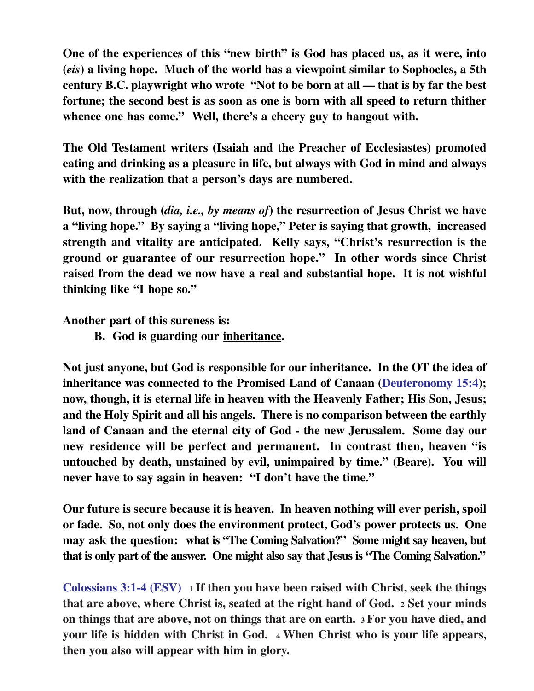**One of the experiences of this "new birth" is God has placed us, as it were, into (***eis***) a living hope. Much of the world has a viewpoint similar to Sophocles, a 5th century B.C. playwright who wrote "Not to be born at all — that is by far the best fortune; the second best is as soon as one is born with all speed to return thither whence one has come." Well, there's a cheery guy to hangout with.**

**The Old Testament writers (Isaiah and the Preacher of Ecclesiastes) promoted eating and drinking as a pleasure in life, but always with God in mind and always with the realization that a person's days are numbered.**

**But, now, through (***dia, i.e., by means of***) the resurrection of Jesus Christ we have a "living hope." By saying a "living hope," Peter is saying that growth, increased strength and vitality are anticipated. Kelly says, "Christ's resurrection is the ground or guarantee of our resurrection hope." In other words since Christ raised from the dead we now have a real and substantial hope. It is not wishful thinking like "I hope so."**

**Another part of this sureness is:**

**B. God is guarding our inheritance.**

**Not just anyone, but God is responsible for our inheritance. In the OT the idea of inheritance was connected to the Promised Land of Canaan (Deuteronomy 15:4); now, though, it is eternal life in heaven with the Heavenly Father; His Son, Jesus; and the Holy Spirit and all his angels. There is no comparison between the earthly land of Canaan and the eternal city of God - the new Jerusalem. Some day our new residence will be perfect and permanent. In contrast then, heaven "is untouched by death, unstained by evil, unimpaired by time." (Beare). You will never have to say again in heaven: "I don't have the time."**

**Our future is secure because it is heaven. In heaven nothing will ever perish, spoil or fade. So, not only does the environment protect, God's power protects us. One may ask the question: what is "The Coming Salvation?" Some might say heaven, but that is only part of the answer. One might also say that Jesus is "The Coming Salvation."**

**Colossians 3:1-4 (ESV) 1 If then you have been raised with Christ, seek the things that are above, where Christ is, seated at the right hand of God. 2 Set your minds on things that are above, not on things that are on earth. 3 For you have died, and your life is hidden with Christ in God. 4 When Christ who is your life appears, then you also will appear with him in glory.**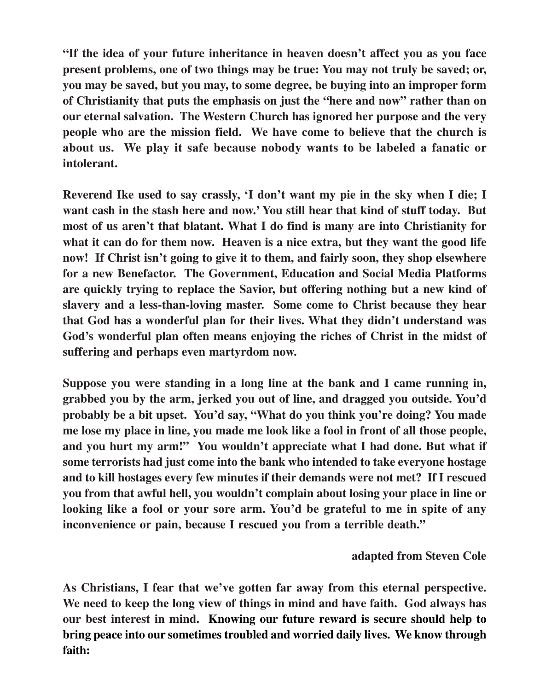**"If the idea of your future inheritance in heaven doesn't affect you as you face present problems, one of two things may be true: You may not truly be saved; or, you may be saved, but you may, to some degree, be buying into an improper form of Christianity that puts the emphasis on just the "here and now" rather than on our eternal salvation. The Western Church has ignored her purpose and the very people who are the mission field. We have come to believe that the church is about us. We play it safe because nobody wants to be labeled a fanatic or intolerant.**

**Reverend Ike used to say crassly, 'I don't want my pie in the sky when I die; I want cash in the stash here and now.' You still hear that kind of stuff today. But most of us aren't that blatant. What I do find is many are into Christianity for what it can do for them now. Heaven is a nice extra, but they want the good life now! If Christ isn't going to give it to them, and fairly soon, they shop elsewhere for a new Benefactor. The Government, Education and Social Media Platforms are quickly trying to replace the Savior, but offering nothing but a new kind of slavery and a less-than-loving master. Some come to Christ because they hear that God has a wonderful plan for their lives. What they didn't understand was God's wonderful plan often means enjoying the riches of Christ in the midst of suffering and perhaps even martyrdom now.**

**Suppose you were standing in a long line at the bank and I came running in, grabbed you by the arm, jerked you out of line, and dragged you outside. You'd probably be a bit upset. You'd say, "What do you think you're doing? You made me lose my place in line, you made me look like a fool in front of all those people, and you hurt my arm!" You wouldn't appreciate what I had done. But what if some terrorists had just come into the bank who intended to take everyone hostage and to kill hostages every few minutes if their demands were not met? If I rescued you from that awful hell, you wouldn't complain about losing your place in line or looking like a fool or your sore arm. You'd be grateful to me in spite of any inconvenience or pain, because I rescued you from a terrible death."**

## **adapted from Steven Cole**

**As Christians, I fear that we've gotten far away from this eternal perspective. We need to keep the long view of things in mind and have faith. God always has our best interest in mind. Knowing our future reward is secure should help to bring peace into our sometimes troubled and worried daily lives. We know through faith:**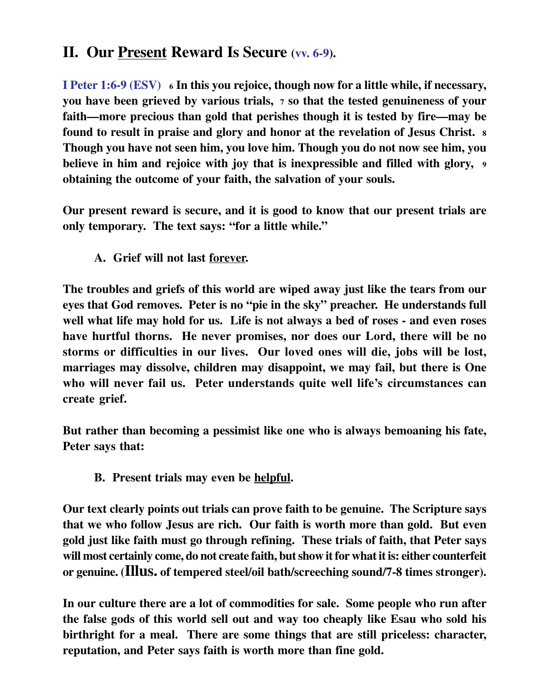## **II. Our Present Reward Is Secure (vv. 6-9).**

**I Peter 1:6-9 (ESV) 6 In this you rejoice, though now for a little while, if necessary, you have been grieved by various trials, 7 so that the tested genuineness of your faith—more precious than gold that perishes though it is tested by fire—may be found to result in praise and glory and honor at the revelation of Jesus Christ. <sup>8</sup> Though you have not seen him, you love him. Though you do not now see him, you believe in him and rejoice with joy that is inexpressible and filled with glory, <sup>9</sup> obtaining the outcome of your faith, the salvation of your souls.**

**Our present reward is secure, and it is good to know that our present trials are only temporary. The text says: "for a little while."**

**A. Grief will not last forever.**

**The troubles and griefs of this world are wiped away just like the tears from our eyes that God removes. Peter is no "pie in the sky" preacher. He understands full well what life may hold for us. Life is not always a bed of roses - and even roses have hurtful thorns. He never promises, nor does our Lord, there will be no storms or difficulties in our lives. Our loved ones will die, jobs will be lost, marriages may dissolve, children may disappoint, we may fail, but there is One who will never fail us. Peter understands quite well life's circumstances can create grief.**

**But rather than becoming a pessimist like one who is always bemoaning his fate, Peter says that:**

**B. Present trials may even be helpful.**

**Our text clearly points out trials can prove faith to be genuine. The Scripture says that we who follow Jesus are rich. Our faith is worth more than gold. But even gold just like faith must go through refining. These trials of faith, that Peter says will most certainly come, do not create faith, but show it for what it is: either counterfeit or genuine. (Illus. of tempered steel/oil bath/screeching sound/7-8 times stronger).**

**In our culture there are a lot of commodities for sale. Some people who run after the false gods of this world sell out and way too cheaply like Esau who sold his birthright for a meal. There are some things that are still priceless: character, reputation, and Peter says faith is worth more than fine gold.**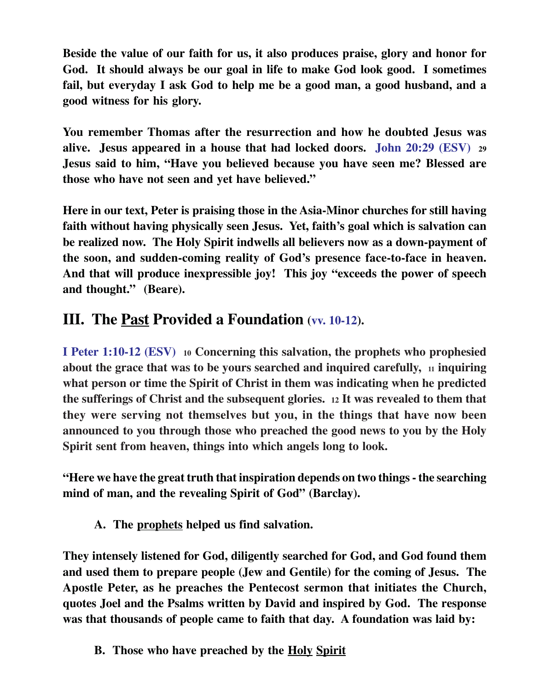**Beside the value of our faith for us, it also produces praise, glory and honor for God. It should always be our goal in life to make God look good. I sometimes fail, but everyday I ask God to help me be a good man, a good husband, and a good witness for his glory.**

**You remember Thomas after the resurrection and how he doubted Jesus was alive. Jesus appeared in a house that had locked doors. John 20:29 (ESV) <sup>29</sup> Jesus said to him, "Have you believed because you have seen me? Blessed are those who have not seen and yet have believed."**

**Here in our text, Peter is praising those in the Asia-Minor churches for still having faith without having physically seen Jesus. Yet, faith's goal which is salvation can be realized now. The Holy Spirit indwells all believers now as a down-payment of the soon, and sudden-coming reality of God's presence face-to-face in heaven. And that will produce inexpressible joy! This joy "exceeds the power of speech and thought." (Beare).**

## **III. The Past Provided a Foundation (vv. 10-12).**

**I Peter 1:10-12 (ESV) 10 Concerning this salvation, the prophets who prophesied about the grace that was to be yours searched and inquired carefully, 11 inquiring what person or time the Spirit of Christ in them was indicating when he predicted the sufferings of Christ and the subsequent glories. 12 It was revealed to them that they were serving not themselves but you, in the things that have now been announced to you through those who preached the good news to you by the Holy Spirit sent from heaven, things into which angels long to look.**

**"Here we have the great truth that inspiration depends on two things - the searching mind of man, and the revealing Spirit of God" (Barclay).**

**A. The prophets helped us find salvation.**

**They intensely listened for God, diligently searched for God, and God found them and used them to prepare people (Jew and Gentile) for the coming of Jesus. The Apostle Peter, as he preaches the Pentecost sermon that initiates the Church, quotes Joel and the Psalms written by David and inspired by God. The response was that thousands of people came to faith that day. A foundation was laid by:**

**B. Those who have preached by the Holy Spirit**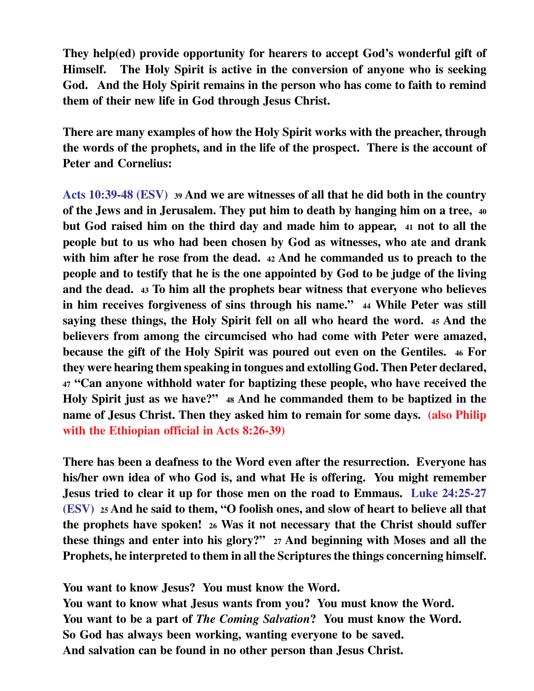**They help(ed) provide opportunity for hearers to accept God's wonderful gift of Himself. The Holy Spirit is active in the conversion of anyone who is seeking God. And the Holy Spirit remains in the person who has come to faith to remind them of their new life in God through Jesus Christ.**

**There are many examples of how the Holy Spirit works with the preacher, through the words of the prophets, and in the life of the prospect. There is the account of Peter and Cornelius:**

**Acts 10:39-48 (ESV) <sup>39</sup> And we are witnesses of all that he did both in the country of the Jews and in Jerusalem. They put him to death by hanging him on a tree, <sup>40</sup> but God raised him on the third day and made him to appear, 41 not to all the people but to us who had been chosen by God as witnesses, who ate and drank with him after he rose from the dead. <sup>42</sup> And he commanded us to preach to the people and to testify that he is the one appointed by God to be judge of the living and the dead. 43 To him all the prophets bear witness that everyone who believes in him receives forgiveness of sins through his name." 44 While Peter was still saying these things, the Holy Spirit fell on all who heard the word. <sup>45</sup> And the believers from among the circumcised who had come with Peter were amazed, because the gift of the Holy Spirit was poured out even on the Gentiles. 46 For they were hearing them speaking in tongues and extolling God. Then Peter declared, <sup>47</sup> "Can anyone withhold water for baptizing these people, who have received the Holy Spirit just as we have?" <sup>48</sup> And he commanded them to be baptized in the name of Jesus Christ. Then they asked him to remain for some days. (also Philip with the Ethiopian official in Acts 8:26-39)**

**There has been a deafness to the Word even after the resurrection. Everyone has his/her own idea of who God is, and what He is offering. You might remember Jesus tried to clear it up for those men on the road to Emmaus. Luke 24:25-27 (ESV) 25 And he said to them, "O foolish ones, and slow of heart to believe all that the prophets have spoken! 26 Was it not necessary that the Christ should suffer these things and enter into his glory?" <sup>27</sup> And beginning with Moses and all the Prophets, he interpreted to them in all the Scriptures the things concerning himself.**

**You want to know Jesus? You must know the Word. You want to know what Jesus wants from you? You must know the Word. You want to be a part of** *The Coming Salvation***? You must know the Word. So God has always been working, wanting everyone to be saved. And salvation can be found in no other person than Jesus Christ.**